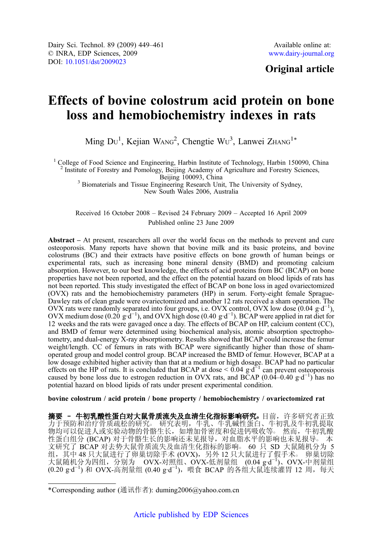# Original article

# Effects of bovine colostrum acid protein on bone loss and hemobiochemistry indexes in rats

Ming Du<sup>1</sup>, Kejian WANG<sup>2</sup>, Chengtie Wu<sup>3</sup>, Lanwei ZHANG<sup>1\*</sup>

 $1$  College of Food Science and Engineering, Harbin Institute of Technology, Harbin 150090, China

<sup>2</sup> Institute of Forestry and Pomology, Beijing Academy of Agriculture and Forestry Sciences,<br>Beijing  $100093$ , China

<sup>3</sup> Biomaterials and Tissue Engineering Research Unit, The University of Sydney, New South Wales 2006, Australia

Received 16 October 2008 – Revised 24 February 2009 – Accepted 16 April 2009 Published online 23 June 2009

Abstract – At present, researchers all over the world focus on the methods to prevent and cure osteoporosis. Many reports have shown that bovine milk and its basic proteins, and bovine colostrums (BC) and their extracts have positive effects on bone growth of human beings or experimental rats, such as increasing bone mineral density (BMD) and promoting calcium absorption. However, to our best knowledge, the effects of acid proteins from BC (BCAP) on bone properties have not been reported, and the effect on the potential hazard on blood lipids of rats has not been reported. This study investigated the effect of BCAP on bone loss in aged ovariectomized (OVX) rats and the hemobiochemistry parameters (HP) in serum. Forty-eight female Sprague-Dawley rats of clean grade were ovariectomized and another 12 rats received a sham operation. The OVX rats were randomly separated into four groups, i.e. OVX control, OVX low dose  $(0.04 \text{ g} \cdot \text{d}^{-1})$ , OVX medium dose (0.20  $g \cdot d^{-1}$ ), and OVX high dose (0.40  $g \cdot d^{-1}$ ). BCAP were applied in rat diet for 12 weeks and the rats were gavaged once a day. The effects of BCAP on HP, calcium content (CC), and BMD of femur were determined using biochemical analysis, atomic absorption spectrophotometry, and dual-energy X-ray absorptiometry. Results showed that BCAP could increase the femur weight/length. CC of femurs in rats with BCAP were significantly higher than those of shamoperated group and model control group. BCAP increased the BMD of femur. However, BCAP at a low dosage exhibited higher activity than that at a medium or high dosage. BCAP had no particular effects on the HP of rats. It is concluded that BCAP at dose  $\leq 0.04$  g·d<sup> $-1$ </sup> can prevent osteoporosis caused by bone loss due to estrogen reduction in OVX rats, and BCAP (0.04–0.40  $g d^{-1}$ ) has no potential hazard on blood lipids of rats under present experimental condition.

#### bovine colostrum / acid protein / bone property / hemobiochemistry / ovariectomized rat

摘要 - 牛初乳酸性蛋白对大鼠骨质流失及血清生化指标影响研究。目前,许多研究者正致 力于预防和治疗骨质疏松的研究。 研究表明,牛乳、牛乳碱性蛋白、牛初乳及牛初乳提取 物均可以促进人或实验动物的骨骼生长,如增加骨密度和促进钙吸收等。然而,牛初乳酸 性蛋白组分 (BCAP) 对于骨骼生长的影响还未见报导, 对血脂水平的影响也未见报导。 本 文研究了 BCAP 对去势大鼠骨质流失及血清生化指标的影响。 60 只 SD 大鼠随机分为 5 组, 其中 48 只大鼠进行了卵巢切除手术 (OVX), 另外 12 只大鼠进行了假手术。 卵巢切除 大鼠随机分为四组,分别为 OVX-对照组、OVX-低剂量组 (0.04 g·d−<sup>1</sup> )、OVX-中剂量组 (0.20 g·d<sup>-1</sup>)和 OVX-高剂量组 (0.40 g·d<sup>-1</sup>), 喂食 BCAP 的各组大鼠连续灌胃 12 周, 每天

<sup>\*</sup>Corresponding author (通讯作者): duming2006@yahoo.com.cn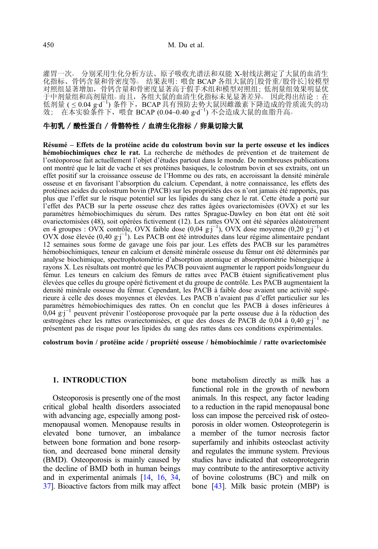灌胃一次。 分别采用生化分析方法、原子吸收光谱法和双能 X-射线法测定了大鼠的血清生 化指标、骨钙含量和骨密度等。 结果表明: 喂食 BCAP 各组大鼠的[股骨重/股骨长]较模型 对照组显著增加,骨钙含量和骨密度显著高于假手术组和模型对照组; 低剂量组效果明显优 于中剂量组和高剂量组。而且, 各组大鼠的血清生化指标未见显著差异。因此得出结论 : 在 低剂量 (≤0.04 g·d<sup>-1</sup>) 条件下, BCAP 具有预防去势大鼠因雌激素下降造成的骨质流失的功 ·<br>效; 在本实验条件下,喂食 BCAP (0.04~0.40 g·d¯) 不会造成大鼠的血脂升高。

# 牛初乳 / 酸性蛋白 / 骨骼特性 / 血清生化指标 / 卵巢切除大鼠

Résumé – Effets de la protéine acide du colostrum bovin sur la perte osseuse et les indices hémobiochimiques chez le rat. La recherche de méthodes de prévention et de traitement de l'ostéoporose fait actuellement l'objet d'études partout dans le monde. De nombreuses publications ont montré que le lait de vache et ses protéines basiques, le colostrum bovin et ses extraits, ont un effet positif sur la croissance osseuse de l'Homme ou des rats, en accroissant la densité minérale osseuse et en favorisant l'absorption du calcium. Cependant, à notre connaissance, les effets des protéines acides du colostrum bovin (PACB) sur les propriétés des os n'ont jamais été rapportés, pas plus que l'effet sur le risque potentiel sur les lipides du sang chez le rat. Cette étude a porté sur l'effet des PACB sur la perte osseuse chez des rattes âgées ovariectomisées (OVX) et sur les paramètres hémobiochimiques du sérum. Des rattes Sprague-Dawley en bon état ont été soit ovariectomisées (48), soit opérées fictivement (12). Les rattes OVX ont été séparées aléatoirement en 4 groupes : OVX contrôle, OVX faible dose (0,04 g·j<sup>-1</sup>), OVX dose moyenne (0,20 g·j<sup>-1</sup>) et OVX dose élevée (0,40 g·j−<sup>1</sup> ). Les PACB ont été introduites dans leur régime alimentaire pendant 12 semaines sous forme de gavage une fois par jour. Les effets des PACB sur les paramètres hémobiochimiques, teneur en calcium et densité minérale osseuse du fémur ont été déterminés par analyse biochimique, spectrophotométrie d'absorption atomique et absorptiométrie biénergique à rayons X. Les résultats ont montré que les PACB pouvaient augmenter le rapport poids/longueur du fémur. Les teneurs en calcium des fémurs de rattes avec PACB étaient significativement plus élevées que celles du groupe opéré fictivement et du groupe de contrôle. Les PACB augmentaient la densité minérale osseuse du fémur. Cependant, les PACB à faible dose avaient une activité supérieure à celle des doses moyennes et élevées. Les PACB n'avaient pas d'effet particulier sur les paramètres hémobiochimiques des rattes. On en conclut que les PACB à doses inférieures à 0,04 g·j<sup>−1</sup> peuvent prévenir l'ostéoporose provoquée par la perte osseuse due à la réduction des œstrogènes chez les rattes ovariectomisées, et que des doses de PACB de 0,04 à 0,40 g·j−<sup>1</sup> ne présentent pas de risque pour les lipides du sang des rattes dans ces conditions expérimentales.

colostrum bovin / protéine acide / propriété osseuse / hémobiochimie / ratte ovariectomisée

# 1. INTRODUCTION

Osteoporosis is presently one of the most critical global health disorders associated with advancing age, especially among postmenopausal women. Menopause results in elevated bone turnover, an imbalance between bone formation and bone resorption, and decreased bone mineral density (BMD). Osteoporosis is mainly caused by the decline of BMD both in human beings and in experimental animals [\[14,](#page-11-0) [16,](#page-11-0) [34,](#page-12-0) [37\]](#page-12-0). Bioactive factors from milk may affect bone metabolism directly as milk has a functional role in the growth of newborn animals. In this respect, any factor leading to a reduction in the rapid menopausal bone loss can impose the perceived risk of osteoporosis in older women. Osteoprotegerin is a member of the tumor necrosis factor superfamily and inhibits osteoclast activity and regulates the immune system. Previous studies have indicated that osteoprotegerin may contribute to the antiresorptive activity of bovine colostrums (BC) and milk on bone [\[43\]](#page-12-0). Milk basic protein (MBP) is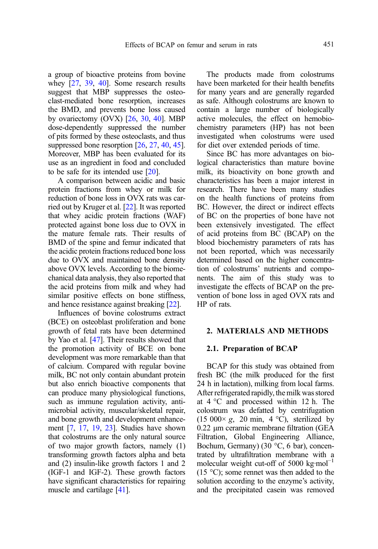a group of bioactive proteins from bovine whey [\[27,](#page-11-0) [39,](#page-12-0) [40\]](#page-12-0). Some research results suggest that MBP suppresses the osteoclast-mediated bone resorption, increases the BMD, and prevents bone loss caused by ovariectomy (OVX) [[26](#page-11-0), [30,](#page-11-0) [40\]](#page-12-0). MBP dose-dependently suppressed the number of pits formed by these osteoclasts, and thus suppressed bone resorption [\[26,](#page-11-0) [27,](#page-11-0) [40](#page-12-0), [45](#page-12-0)]. Moreover, MBP has been evaluated for its use as an ingredient in food and concluded to be safe for its intended use [\[20\]](#page-11-0).

A comparison between acidic and basic protein fractions from whey or milk for reduction of bone loss in OVX rats was carried out by Kruger et al. [\[22](#page-11-0)]. It was reported that whey acidic protein fractions (WAF) protected against bone loss due to OVX in the mature female rats. Their results of BMD of the spine and femur indicated that the acidic protein fractions reduced bone loss due to OVX and maintained bone density above OVX levels. According to the biomechanical data analysis, they also reported that the acid proteins from milk and whey had similar positive effects on bone stiffness, and hence resistance against breaking [\[22\]](#page-11-0).

Influences of bovine colostrums extract (BCE) on osteoblast proliferation and bone growth of fetal rats have been determined by Yao et al. [\[47](#page-12-0)]. Their results showed that the promotion activity of BCE on bone development was more remarkable than that of calcium. Compared with regular bovine milk, BC not only contain abundant protein but also enrich bioactive components that can produce many physiological functions, such as immune regulation activity, antimicrobial activity, muscular/skeletal repair, and bone growth and development enhancement [\[7,](#page-10-0) [17](#page-11-0), [19](#page-11-0), [23\]](#page-11-0). Studies have shown that colostrums are the only natural source of two major growth factors, namely (1) transforming growth factors alpha and beta and (2) insulin-like growth factors 1 and 2 (IGF-1 and IGF-2). These growth factors have significant characteristics for repairing muscle and cartilage [\[41\]](#page-12-0).

The products made from colostrums have been marketed for their health benefits for many years and are generally regarded as safe. Although colostrums are known to contain a large number of biologically active molecules, the effect on hemobiochemistry parameters (HP) has not been investigated when colostrums were used for diet over extended periods of time.

Since BC has more advantages on biological characteristics than mature bovine milk, its bioactivity on bone growth and characteristics has been a major interest in research. There have been many studies on the health functions of proteins from BC. However, the direct or indirect effects of BC on the properties of bone have not been extensively investigated. The effect of acid proteins from BC (BCAP) on the blood biochemistry parameters of rats has not been reported, which was necessarily determined based on the higher concentration of colostrums' nutrients and components. The aim of this study was to investigate the effects of BCAP on the prevention of bone loss in aged OVX rats and HP of rats.

#### 2. MATERIALS AND METHODS

#### 2.1. Preparation of BCAP

BCAP for this study was obtained from fresh BC (the milk produced for the first 24 h in lactation), milking from local farms. After refrigerated rapidly, the milk was stored at 4 °C and processed within 12 h. The colostrum was defatted by centrifugation  $(15\ 000 \times g, 20\ \text{min}, 4\ ^\circ\text{C})$ , sterilized by 0.22 μm ceramic membrane filtration (GEA Filtration, Global Engineering Alliance, Bochum, Germany) (30 °C, 6 bar), concentrated by ultrafiltration membrane with a molecular weight cut-off of 5000 kg·mol<sup>-1</sup>  $(15 \degree C)$ ; some rennet was then added to the solution according to the enzyme's activity, and the precipitated casein was removed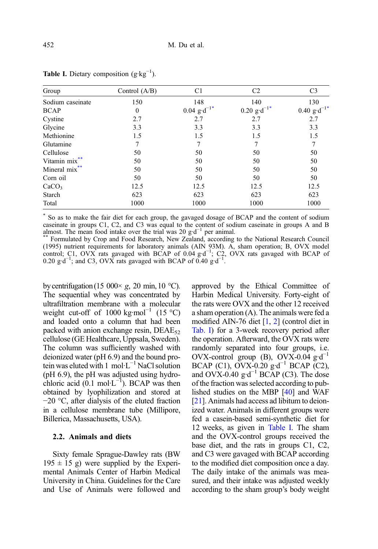| Group             | Control $(A/B)$ | C <sub>1</sub>                        | C <sub>2</sub>                | C <sub>3</sub>         |
|-------------------|-----------------|---------------------------------------|-------------------------------|------------------------|
| Sodium caseinate  | 150             | 148                                   | 140                           | 130                    |
| <b>BCAP</b>       | $\mathbf{0}$    | $0.04 \text{ g} \cdot \text{d}^{-1*}$ | $0.20$ $\rm{g \cdot d}^{-1*}$ | 0.40 $g \cdot d^{-1*}$ |
| Cystine           | 2.7             | 2.7                                   | 2.7                           | 2.7                    |
| Glycine           | 3.3             | 3.3                                   | 3.3                           | 3.3                    |
| Methionine        | 1.5             | 1.5                                   | 1.5                           | 1.5                    |
| Glutamine         | 7               | 7                                     | 7                             | 7                      |
| Cellulose         | 50              | 50                                    | 50                            | 50                     |
| Vitamin mix       | 50              | 50                                    | 50                            | 50                     |
| Mineral mix**     | 50              | 50                                    | 50                            | 50                     |
| Corn oil          | 50              | 50                                    | 50                            | 50                     |
| CaCO <sub>3</sub> | 12.5            | 12.5                                  | 12.5                          | 12.5                   |
| Starch            | 623             | 623                                   | 623                           | 623                    |
| Total             | 1000            | 1000                                  | 1000                          | 1000                   |

Table I. Dietary composition  $(g \cdot kg^{-1})$ .

\* So as to make the fair diet for each group, the gavaged dosage of BCAP and the content of sodium caseinate in groups C1, C2, and C3 was equal to the content of sodium caseinate in groups A and B almost. The mean food intake over the trial was 20  $g d^{-1}$  per animal.

Formulated by Crop and Food Research, New Zealand, according to the National Research Council (1995) nutrient requirements for laboratory animals (AIN 93M). A, sham operation; B, OVX model control; C1, OVX rats gavaged with BCAP of 0.04  $g d^{-1}$ ; C2, OVX rats gavaged with BCAP of 0.20  $g \cdot d^{-1}$ ; and C3, OVX rats gavaged with BCAP of 0.40  $g \cdot d^{-1}$ .

by centrifugation (15 000 $\times$  g, 20 min, 10 °C). The sequential whey was concentrated by ultrafiltration membrane with a molecular weight cut-off of  $1000 \text{ kg/mol}^{-1}$  (15 °C) and loaded onto a column that had been packed with anion exchange resin,  $DEAE_{52}$ cellulose (GE Healthcare, Uppsala, Sweden). The column was sufficiently washed with deionized water (pH 6.9) and the bound protein was eluted with 1 mol·L<sup>-1</sup> NaCl solution (pH 6.9), the pH was adjusted using hydrochloric acid  $(0.1 \text{ mol} \cdot L^{-1})$ . BCAP was then obtained by lyophilization and stored at −20 °C, after dialysis of the eluted fraction in a cellulose membrane tube (Millipore, Billerica, Massachusetts, USA).

#### 2.2. Animals and diets

Sixty female Sprague-Dawley rats (BW  $195 \pm 15$  g) were supplied by the Experimental Animals Center of Harbin Medical University in China. Guidelines for the Care and Use of Animals were followed and approved by the Ethical Committee of Harbin Medical University. Forty-eight of the rats were OVX and the other 12 received a sham operation (A). The animals were fed a modified AIN-76 diet [\[1](#page-10-0), [2](#page-10-0)] (control diet in Tab. I) for a 3-week recovery period after the operation. Afterward, the OVX rats were randomly separated into four groups, i.e. OVX-control group (B), OVX-0.04  $g \cdot d^{-1}$ BCAP (C1),  $\overline{O}V\overline{X}$ -0.20  $g \cdot d^{-1}$  BCAP (C2), and OVX-0.40  $g \cdot d^{-1}$  BCAP (C3). The dose of the fraction was selected according to published studies on the MBP [\[40\]](#page-12-0) and WAF [[21](#page-11-0)]. Animals had access ad libitum to deionized water. Animals in different groups were fed a casein-based semi-synthetic diet for 12 weeks, as given in Table I. The sham and the OVX-control groups received the base diet, and the rats in groups C1, C2, and C3 were gavaged with BCAP according to the modified diet composition once a day. The daily intake of the animals was measured, and their intake was adjusted weekly according to the sham group's body weight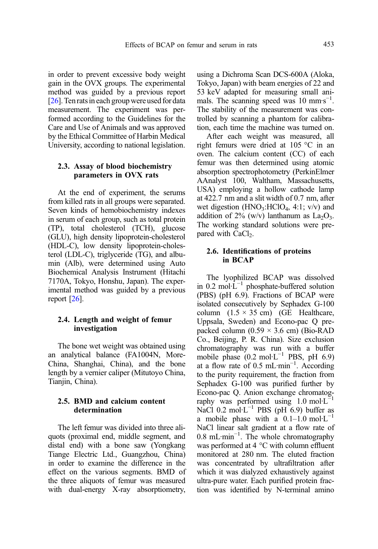in order to prevent excessive body weight gain in the OVX groups. The experimental method was guided by a previous report [[26](#page-11-0)]. Ten rats in each group were used for data measurement. The experiment was performed according to the Guidelines for the Care and Use of Animals and was approved by the Ethical Committee of Harbin Medical University, according to national legislation.

# 2.3. Assay of blood biochemistry parameters in OVX rats

At the end of experiment, the serums from killed rats in all groups were separated. Seven kinds of hemobiochemistry indexes in serum of each group, such as total protein (TP), total cholesterol (TCH), glucose (GLU), high density lipoprotein-cholesterol (HDL-C), low density lipoprotein-cholesterol (LDL-C), triglyceride (TG), and albumin (Alb), were determined using Auto Biochemical Analysis Instrument (Hitachi 7170A, Tokyo, Honshu, Japan). The experimental method was guided by a previous report [[26](#page-11-0)].

#### 2.4. Length and weight of femur investigation

The bone wet weight was obtained using an analytical balance (FA1004N, More-China, Shanghai, China), and the bone length by a vernier caliper (Mitutoyo China, Tianjin, China).

# 2.5. BMD and calcium content determination

The left femur was divided into three aliquots (proximal end, middle segment, and distal end) with a bone saw (Yongkang Tiange Electric Ltd., Guangzhou, China) in order to examine the difference in the effect on the various segments. BMD of the three aliquots of femur was measured with dual-energy X-ray absorptiometry, using a Dichroma Scan DCS-600A (Aloka, Tokyo, Japan) with beam energies of 22 and 53 keV adapted for measuring small animals. The scanning speed was 10 mm·s<sup>-1</sup>. The stability of the measurement was controlled by scanning a phantom for calibration, each time the machine was turned on.

After each weight was measured, all right femurs were dried at 105 °C in an oven. The calcium content (CC) of each femur was then determined using atomic absorption spectrophotometry (PerkinElmer AAnalyst 100, Waltham, Massachusetts, USA) employing a hollow cathode lamp at 422.7 nm and a slit width of 0.7 nm, after wet digestion ( $HNO<sub>3</sub>:HClO<sub>4</sub>$ , 4:1; v/v) and addition of 2% (w/v) lanthanum as  $La<sub>2</sub>O<sub>3</sub>$ . The working standard solutions were prepared with  $CaCl<sub>2</sub>$ .

#### 2.6. Identifications of proteins in BCAP

The lyophilized BCAP was dissolved in  $0.2 \text{ mol} \cdot \text{L}^{-1}$  phosphate-buffered solution (PBS) (pH 6.9). Fractions of BCAP were isolated consecutively by Sephadex G-100 column  $(1.5 \times 35 \text{ cm})$  (GE Healthcare, Uppsala, Sweden) and Econo-pac Q prepacked column  $(0.59 \times 3.6 \text{ cm})$  (Bio-RAD Co., Beijing, P. R. China). Size exclusion chromatography was run with a buffer mobile phase  $(0.2 \text{ mol} \cdot \text{L}^{-1}$  PBS, pH 6.9) at a flow rate of 0.5 mL·min−<sup>1</sup> . According to the purity requirement, the fraction from Sephadex G-100 was purified further by Econo-pac Q. Anion exchange chromatography was performed using 1.0 mol·L−<sup>1</sup> NaCl 0.2 mol·L<sup>-1</sup> PBS (pH 6.9) buffer as a mobile phase with a  $0.1-1.0$  mol·L<sup>-1</sup> NaCl linear salt gradient at a flow rate of 0.8 mL·min−<sup>1</sup> . The whole chromatography was performed at 4 °C with column effluent monitored at 280 nm. The eluted fraction was concentrated by ultrafiltration after which it was dialyzed exhaustively against ultra-pure water. Each purified protein fraction was identified by N-terminal amino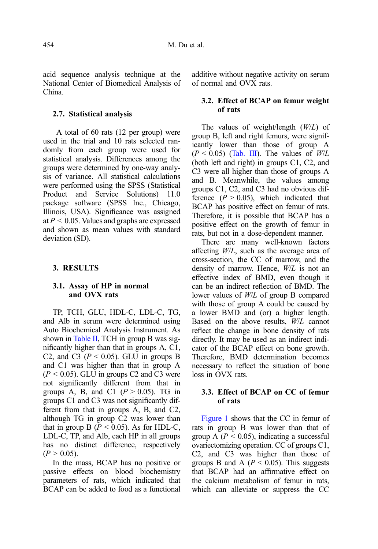acid sequence analysis technique at the National Center of Biomedical Analysis of China.

#### 2.7. Statistical analysis

A total of 60 rats (12 per group) were used in the trial and 10 rats selected randomly from each group were used for statistical analysis. Differences among the groups were determined by one-way analysis of variance. All statistical calculations were performed using the SPSS (Statistical Product and Service Solutions) 11.0 package software (SPSS Inc., Chicago, Illinois, USA). Significance was assigned at  $P < 0.05$ . Values and graphs are expressed and shown as mean values with standard deviation (SD).

# 3. RESULTS

#### 3.1. Assay of HP in normal and OVX rats

TP, TCH, GLU, HDL-C, LDL-C, TG, and Alb in serum were determined using Auto Biochemical Analysis Instrument. As shown in [Table II,](#page-6-0) TCH in group B was significantly higher than that in groups A, C1, C2, and C3 ( $P < 0.05$ ). GLU in groups B and C1 was higher than that in group A  $(P < 0.05)$ . GLU in groups C2 and C3 were not significantly different from that in groups A, B, and C1  $(P > 0.05)$ . TG in groups C1 and C3 was not significantly different from that in groups A, B, and C2, although TG in group C2 was lower than that in group B ( $P < 0.05$ ). As for HDL-C, LDL-C, TP, and Alb, each HP in all groups has no distinct difference, respectively  $(P > 0.05)$ .

In the mass, BCAP has no positive or passive effects on blood biochemistry parameters of rats, which indicated that BCAP can be added to food as a functional

additive without negative activity on serum of normal and OVX rats.

# 3.2. Effect of BCAP on femur weight of rats

The values of weight/length (*W/L*) of group B, left and right femurs, were significantly lower than those of group A  $(P < 0.05)$  [\(Tab. III\)](#page-7-0). The values of  $W/L$ (both left and right) in groups C1, C2, and C3 were all higher than those of groups A and B. Meanwhile, the values among groups C1, C2, and C3 had no obvious difference  $(P > 0.05)$ , which indicated that BCAP has positive effect on femur of rats. Therefore, it is possible that BCAP has a positive effect on the growth of femur in rats, but not in a dose-dependent manner.

There are many well-known factors affecting  $W/L$ , such as the average area of cross-section, the CC of marrow, and the density of marrow. Hence,  $W/L$  is not an density of marrow. Hence, W/L is not an effective index of BMD, even though it can be an indirect reflection of BMD. The lower values of W/L of group B compared with those of group A could be caused by a lower BMD and (or) a higher length. Based on the above results, W/L cannot reflect the change in bone density of rats directly. It may be used as an indirect indicator of the BCAP effect on bone growth. Therefore, BMD determination becomes necessary to reflect the situation of bone loss in OVX rats.

# 3.3. Effect of BCAP on CC of femur of rats

[Figure 1](#page-7-0) shows that the CC in femur of rats in group B was lower than that of group  $\overline{A} (P \le 0.05)$ , indicating a successful ovariectomizing operation. CC of groups C1, C2, and C3 was higher than those of groups B and A ( $P < 0.05$ ). This suggests that BCAP had an affirmative effect on the calcium metabolism of femur in rats, which can alleviate or suppress the CC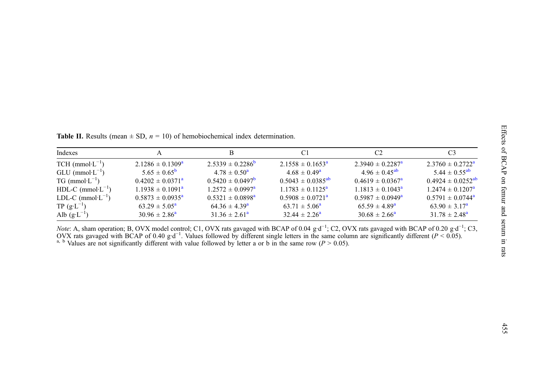<span id="page-6-0"></span>**Table II.** Results (mean  $\pm$  SD,  $n = 10$ ) of hemobiochemical index determination.

| Indexes                       |                                  |                             | C1                          | C <sub>2</sub>                 | C <sub>3</sub>                    |
|-------------------------------|----------------------------------|-----------------------------|-----------------------------|--------------------------------|-----------------------------------|
| $TCH$ (mmol·L <sup>-1</sup> ) | $2.1286 \pm 0.1309^{\rm a}$      | $2.5339 \pm 0.2286^{\circ}$ | $2.1558 \pm 0.1653^{\circ}$ | $2.3940 \pm 0.2287^{\circ}$    | $2.3760 \pm 0.2722^{\text{a}}$    |
| $GLU$ (mmol $\cdot L^{-1}$ )  | $5.65 \pm 0.65^{\rm b}$          | $4.78 \pm 0.50^{\circ}$     | $4.68 \pm 0.49^a$           | $4.96 \pm 0.45^{ab}$           | $5.44 \pm 0.55^{ab}$              |
| $TG \text{ (mmol·L}^{-1})$    | $0.4202 \pm 0.0371^{\mathrm{a}}$ | $0.5420 \pm 0.0497^{\rm b}$ | $0.5043 \pm 0.0385^{ab}$    | $0.4619 \pm 0.0367^{\rm a}$    | $0.4924 \pm 0.0252$ <sup>ab</sup> |
| $HDL-C$ (mmol· $L^{-1}$ )     | $1.1938 \pm 0.1091^{\mathrm{a}}$ | $1.2572 \pm 0.0997^{\rm a}$ | $1.1783 \pm 0.1125^{\rm a}$ | $1.1813 \pm 0.1043^{\text{a}}$ | $1.2474 \pm 0.1207^{\rm a}$       |
| LDL-C $(mmol·L^{-1})$         | $0.5873 \pm 0.0935^{\rm a}$      | $0.5321 \pm 0.0898^{\rm a}$ | $0.5908 \pm 0.0721^{\circ}$ | $0.5987 \pm 0.0949^{\rm a}$    | $0.5791 \pm 0.0744^{\circ}$       |
| $TP(g \cdot L^{-1})$          | $63.29 \pm 5.05^{\circ}$         | $64.36 \pm 4.39^{\circ}$    | $63.71 \pm 5.06^{\circ}$    | $65.59 \pm 4.89^{\circ}$       | $63.90 \pm 3.17^{\circ}$          |
| Alb $(g \cdot L^{-1})$        | $30.96 \pm 2.86^{\circ}$         | $31.36 \pm 2.61^a$          | $32.44 \pm 2.26^{\circ}$    | $30.68 \pm 2.66^{\circ}$       | $31.78 \pm 2.48^{\circ}$          |

*Note*: A, sham operation; B, OVX model control; C1, OVX rats gavaged with BCAP of 0.04 g·d<sup>-1</sup>; C2, OVX rats gavaged with BCAP of 0.20 g·d<sup>-1</sup>; C3, OVX rats gavaged with BCAP of 0.40 g·d<sup>-1</sup>. Values followed by different single letters in the same column are significantly different (P < 0.05). a, b Values are not significantly different with value followed by letter a or b in the same row ( $P > 0.05$ ).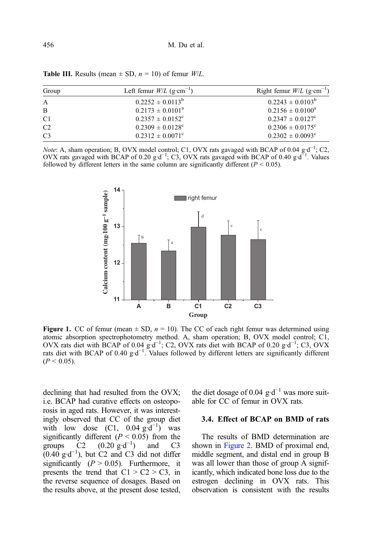| Group          | Left femur $W/L$ (g·cm <sup>-1</sup> ) | Right femur $W/L$ (g·cm <sup>-1</sup> ) |
|----------------|----------------------------------------|-----------------------------------------|
| A              | $0.2252 \pm 0.0113^b$                  | $0.2243 \pm 0.0103^b$                   |
| B              | $0.2173 \pm 0.0101^{\text{a}}$         | $0.2156 \pm 0.0100^a$                   |
| C <sub>1</sub> | $0.2357 \pm 0.0152^{\circ}$            | $0.2347 \pm 0.0127$ <sup>c</sup>        |
| C <sub>2</sub> | $0.2309 \pm 0.0128$ <sup>c</sup>       | $0.2306 \pm 0.0175$ <sup>c</sup>        |
| C <sub>3</sub> | $0.2312 \pm 0.0071$ <sup>c</sup>       | $0.2302 \pm 0.0093^{\circ}$             |

<span id="page-7-0"></span>**Table III.** Results (mean  $\pm$  SD,  $n = 10$ ) of femur *W/L*.

*Note*: A, sham operation; B, OVX model control; C1, OVX rats gavaged with BCAP of 0.04 g·d<sup>-1</sup>; C2, OVX rats gavaged with BCAP of 0.40 g·d<sup>-1</sup>. Values followed by different letters in the same column are significantly different ( $P < 0.05$ ).



**Figure 1.** CC of femur (mean  $\pm$  SD,  $n = 10$ ). The CC of each right femur was determined using atomic absorption spectrophotometry method. A, sham operation; B, OVX model control; C1, OVX rats diet with BCAP of 0.04  $g d^{-1}$ ; C2, OVX rats diet with BCAP of 0.20  $g d^{-1}$ ; C3, OVX rats diet with BCAP of 0.40 g·d<sup>-1</sup>. Values followed by different letters are significantly different  $(P < 0.05)$ .

declining that had resulted from the OVX; i.e. BCAP had curative effects on osteoporosis in aged rats. However, it was interestingly observed that CC of the group diet with low dose  $(Cl, 0.04 \text{ g} \cdot \text{d}^{-1})$  was significantly different  $(P < 0.05)$  from the<br>groups C2  $(0.20 \text{ g} \cdot \text{d}^{-1})$  and C3  $(0.20 \text{ g} \cdot \text{d}^{-1})$ and  $(0.40 \text{ g} \cdot d^{-1})$ , but C2 and C3 did not differ significantly  $(P > 0.05)$ . Furthermore, it presents the trend that  $C1 > C2 > C3$ , in the reverse sequence of dosages. Based on the results above, at the present dose tested, the diet dosage of 0.04  $g \cdot d^{-1}$  was more suitable for CC of femur in OVX rats.

#### 3.4. Effect of BCAP on BMD of rats

The results of BMD determination are shown in [Figure 2](#page-8-0). BMD of proximal end, middle segment, and distal end in group B was all lower than those of group A significantly, which indicated bone loss due to the estrogen declining in OVX rats. This observation is consistent with the results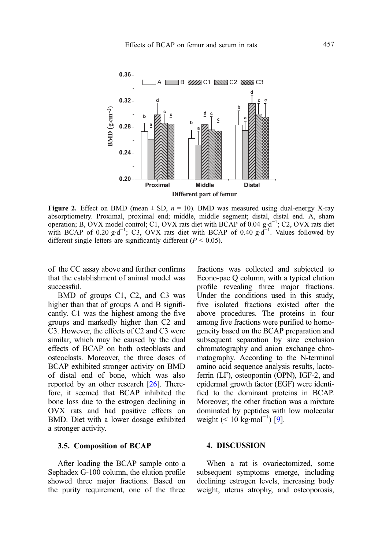<span id="page-8-0"></span>

**Figure 2.** Effect on BMD (mean  $\pm$  SD,  $n = 10$ ). BMD was measured using dual-energy X-ray absorptiometry. Proximal, proximal end; middle, middle segment; distal, distal end. A, sham operation; B, OVX model control; C1, OVX rats diet with BCAP of 0.04 g·d<sup>-1</sup>; C2, OVX rats diet with BCAP of 0.20  $g d^{-1}$ ; C3, OVX rats diet with BCAP of 0.40  $g d^{-1}$ . Values followed by different single letters are significantly different ( $P < 0.05$ ).

of the CC assay above and further confirms that the establishment of animal model was successful.

BMD of groups C1, C2, and C3 was higher than that of groups A and B significantly. C1 was the highest among the five groups and markedly higher than C2 and C3. However, the effects of C2 and C3 were similar, which may be caused by the dual effects of BCAP on both osteoblasts and osteoclasts. Moreover, the three doses of BCAP exhibited stronger activity on BMD of distal end of bone, which was also reported by an other research [[26\]](#page-11-0). Therefore, it seemed that BCAP inhibited the bone loss due to the estrogen declining in OVX rats and had positive effects on BMD. Diet with a lower dosage exhibited a stronger activity.

#### 3.5. Composition of BCAP

After loading the BCAP sample onto a Sephadex G-100 column, the elution profile showed three major fractions. Based on the purity requirement, one of the three fractions was collected and subjected to Econo-pac Q column, with a typical elution profile revealing three major fractions. Under the conditions used in this study, five isolated fractions existed after the above procedures. The proteins in four among five fractions were purified to homogeneity based on the BCAP preparation and subsequent separation by size exclusion chromatography and anion exchange chromatography. According to the N-terminal amino acid sequence analysis results, lactoferrin (LF), osteopontin (OPN), IGF-2, and epidermal growth factor (EGF) were identified to the dominant proteins in BCAP. Moreover, the other fraction was a mixture dominated by peptides with low molecular weight  $\left($  < 10 kg·mol<sup>-1</sup>) [\[9](#page-11-0)].

#### 4. DISCUSSION

When a rat is ovariectomized, some subsequent symptoms emerge, including declining estrogen levels, increasing body weight, uterus atrophy, and osteoporosis,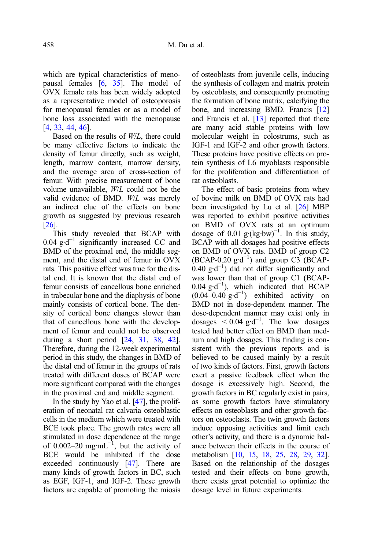which are typical characteristics of menopausal females [\[6,](#page-10-0) [35](#page-12-0)]. The model of OVX female rats has been widely adopted as a representative model of osteoporosis for menopausal females or as a model of bone loss associated with the menopause [\[4](#page-10-0), [33,](#page-12-0) [44,](#page-12-0) [46](#page-12-0)].

Based on the results of W/L, there could be many effective factors to indicate the density of femur directly, such as weight, length, marrow content, marrow density, and the average area of cross-section of femur. With precise measurement of bone<br>volume unavailable.  $W/L$  could not be the valid evidence of BMD.  $W/L$  was merely valid evidence of BMD. W/L was merely an indirect clue of the effects on bone growth as suggested by previous research [\[26](#page-11-0)].

This study revealed that BCAP with 0.04  $g \cdot d^{-1}$  significantly increased CC and BMD of the proximal end, the middle segment, and the distal end of femur in OVX rats. This positive effect was true for the distal end. It is known that the distal end of femur consists of cancellous bone enriched in trabecular bone and the diaphysis of bone mainly consists of cortical bone. The density of cortical bone changes slower than that of cancellous bone with the development of femur and could not be observed during a short period [[24](#page-11-0), [31](#page-12-0), [38,](#page-12-0) [42\]](#page-12-0). Therefore, during the 12-week experimental period in this study, the changes in BMD of the distal end of femur in the groups of rats treated with different doses of BCAP were more significant compared with the changes in the proximal end and middle segment.

In the study by Yao et al. [\[47\]](#page-12-0), the proliferation of neonatal rat calvaria osteoblastic cells in the medium which were treated with BCE took place. The growth rates were all stimulated in dose dependence at the range of 0.002–20 mg·mL<sup>-1</sup>, but the activity of BCE would be inhibited if the dose exceeded continuously [\[47\]](#page-12-0). There are many kinds of growth factors in BC, such as EGF, IGF-1, and IGF-2. These growth factors are capable of promoting the miosis

of osteoblasts from juvenile cells, inducing the synthesis of collagen and matrix protein by osteoblasts, and consequently promoting the formation of bone matrix, calcifying the bone, and increasing BMD. Francis [[12](#page-11-0)] and Francis et al.  $[13]$  $[13]$  reported that there are many acid stable proteins with low molecular weight in colostrums, such as IGF-1 and IGF-2 and other growth factors. These proteins have positive effects on protein synthesis of L6 myoblasts responsible for the proliferation and differentiation of rat osteoblasts.

The effect of basic proteins from whey of bovine milk on BMD of OVX rats had been investigated by Lu et al. [\[26](#page-11-0)] MBP was reported to exhibit positive activities on BMD of OVX rats at an optimum dosage of 0.01  $g$ ·(kg·bw)<sup>-1</sup>. In this study, BCAP with all dosages had positive effects on BMD of OVX rats. BMD of group C2  $(BCAP-0.20 \text{ g} \cdot \text{d}^{-1})$  and group C3 (BCAP- $0.40$  g·d<sup>-1</sup>) did not differ significantly and was lower than that of group C1 (BCAP-0.04 g·d−<sup>1</sup> ), which indicated that BCAP  $(0.04-0.40 \text{ g} \cdot d^{-1})$  exhibited activity on BMD not in dose-dependent manner. The dose-dependent manner may exist only in dosages <  $0.04$  g·d<sup>-1</sup>. The low dosages tested had better effect on BMD than medium and high dosages. This finding is consistent with the previous reports and is believed to be caused mainly by a result of two kinds of factors. First, growth factors exert a passive feedback effect when the dosage is excessively high. Second, the growth factors in BC regularly exist in pairs, as some growth factors have stimulatory effects on osteoblasts and other growth factors on osteoclasts. The twin growth factors induce opposing activities and limit each other's activity, and there is a dynamic balance between their effects in the course of metabolism [\[10,](#page-11-0) [15,](#page-11-0) [18,](#page-11-0) [25,](#page-11-0) [28,](#page-11-0) [29](#page-11-0), [32](#page-12-0)]. Based on the relationship of the dosages tested and their effects on bone growth, there exists great potential to optimize the dosage level in future experiments.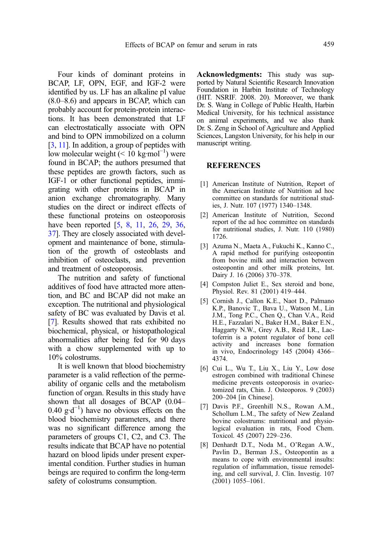<span id="page-10-0"></span>Four kinds of dominant proteins in BCAP, LF, OPN, EGF, and IGF-2 were identified by us. LF has an alkaline pI value (8.0–8.6) and appears in BCAP, which can probably account for protein-protein interactions. It has been demonstrated that LF can electrostatically associate with OPN and bind to OPN immobilized on a column [3, [11\]](#page-11-0). In addition, a group of peptides with low molecular weight (< 10 kg·mol−<sup>1</sup> ) were found in BCAP; the authors presumed that these peptides are growth factors, such as IGF-1 or other functional peptides, immigrating with other proteins in BCAP in anion exchange chromatography. Many studies on the direct or indirect effects of these functional proteins on osteoporosis have been reported [5, 8, [11](#page-11-0), [26,](#page-11-0) [29,](#page-11-0) [36](#page-12-0), [37](#page-12-0)]. They are closely associated with development and maintenance of bone, stimulation of the growth of osteoblasts and inhibition of osteoclasts, and prevention and treatment of osteoporosis.

The nutrition and safety of functional additives of food have attracted more attention, and BC and BCAP did not make an exception. The nutritional and physiological safety of BC was evaluated by Davis et al. [7]. Results showed that rats exhibited no biochemical, physical, or histopathological abnormalities after being fed for 90 days with a chow supplemented with up to 10% colostrums.

It is well known that blood biochemistry parameter is a valid reflection of the permeability of organic cells and the metabolism function of organ. Results in this study have shown that all dosages of BCAP (0.04– 0.40 g·d−<sup>1</sup> ) have no obvious effects on the blood biochemistry parameters, and there was no significant difference among the parameters of groups C1, C2, and C3. The results indicate that BCAP have no potential hazard on blood lipids under present experimental condition. Further studies in human beings are required to confirm the long-term safety of colostrums consumption.

Acknowledgments: This study was supported by Natural Scientific Research Innovation Foundation in Harbin Institute of Technology (HIT. NSRIF. 2008. 20). Moreover, we thank Dr. S. Wang in College of Public Health, Harbin Medical University, for his technical assistance on animal experiments, and we also thank Dr. S. Zeng in School of Agriculture and Applied Sciences, Langston University, for his help in our manuscript writing.

#### **REFERENCES**

- [1] American Institute of Nutrition, Report of the American Institute of Nutrition ad hoc committee on standards for nutritional studies, J. Nutr. 107 (1977) 1340–1348.
- [2] American Institute of Nutrition, Second report of the ad hoc committee on standards for nutritional studies, J. Nutr. 110 (1980) 1726.
- [3] Azuma N., Maeta A., Fukuchi K., Kanno C., A rapid method for purifying osteopontin from bovine milk and interaction between osteopontin and other milk proteins, Int. Dairy J. 16 (2006) 370–378.
- [4] Compston Juliet E., Sex steroid and bone, Physiol. Rev. 81 (2001) 419–444.
- [5] Cornish J., Callon K.E., Naot D., Palmano K.P., Banovic T., Bava U., Watson M., Lin J.M., Tong P.C., Chen Q., Chan V.A., Reid H.E., Fazzalari N., Baker H.M., Baker E.N., Haggarty N.W., Grey A.B., Reid I.R., Lactoferrin is a potent regulator of bone cell activity and increases bone formation in vivo, Endocrinology 145 (2004) 4366– 4374.
- [6] Cui L., Wu T., Liu X., Liu Y., Low dose estrogen combined with traditional Chinese medicine prevents osteoporosis in ovariectomized rats, Chin. J. Osteoporos. 9 (2003) 200–204 [in Chinese].
- [7] Davis P.F., Greenhill N.S., Rowan A.M., Schollum L.M., The safety of New Zealand bovine colostrums: nutritional and physiological evaluation in rats, Food Chem. Toxicol. 45 (2007) 229–236.
- [8] Denhardt D.T., Noda M., O'Regan A.W., Pavlin D., Berman J.S., Osteopontin as a means to cope with environmental insults: regulation of inflammation, tissue remodeling, and cell survival, J. Clin. Investig. 107 (2001) 1055–1061.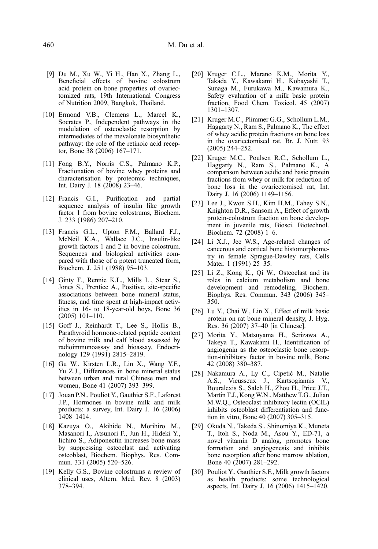- <span id="page-11-0"></span>[9] Du M., Xu W., Yi H., Han X., Zhang L., Beneficial effects of bovine colostrum acid protein on bone properties of ovariectomized rats, 19th International Congress of Nutrition 2009, Bangkok, Thailand.
- [10] Ermond V.B., Clemens L., Marcel K., Socrates P., Independent pathways in the modulation of osteoclastic resorption by intermediates of the mevalonate biosynthetic pathway: the role of the retinoic acid receptor, Bone 38 (2006) 167–171.
- [11] Fong B.Y., Norris C.S., Palmano K.P., Fractionation of bovine whey proteins and characterisation by proteomic techniques, Int. Dairy J. 18 (2008) 23–46.
- [12] Francis G.I., Purification and partial sequence analysis of insulin like growth factor 1 from bovine colostrums, Biochem. J. 233 (1986) 207–210.
- [13] Francis G.L., Upton F.M., Ballard F.J., McNeil K.A., Wallace J.C., Insulin-like growth factors 1 and 2 in bovine colostrum. Sequences and biological activities compared with those of a potent truncated form, Biochem. J. 251 (1988) 95–103.
- [14] Ginty F., Rennie K.L., Mills L., Stear S., Jones S., Prentice A., Positive, site-specific associations between bone mineral status, fitness, and time spent at high-impact activities in 16- to 18-year-old boys, Bone 36 (2005) 101–110.
- [15] Goff J., Reinhardt T., Lee S., Hollis B., Parathyroid hormone-related peptide content of bovine milk and calf blood assessed by radioimmunoassay and bioassay, Endocrinology 129 (1991) 2815–2819.
- [16] Gu W., Kirsten L.R., Lin X., Wang Y.F., Yu Z.J., Differences in bone mineral status between urban and rural Chinese men and women, Bone 41 (2007) 393–399.
- [17] Jouan P.N., Pouliot Y., Gauthier S.F., Laforest J.P., Hormones in bovine milk and milk products: a survey, Int. Dairy J. 16 (2006) 1408–1414.
- [18] Kazuya O., Akihide N., Morihiro M., Masanori I., Atsunori F., Jun H., Hideki Y., Iichiro S., Adiponectin increases bone mass by suppressing osteoclast and activating osteoblast, Biochem. Biophys. Res. Commun. 331 (2005) 520–526.
- [19] Kelly G.S., Bovine colostrums a review of clinical uses, Altern. Med. Rev. 8 (2003) 378–394.
- [20] Kruger C.L., Marano K.M., Morita Y., Takada Y., Kawakami H., Kobayashi T., Sunaga M., Furukawa M., Kawamura K., Safety evaluation of a milk basic protein fraction, Food Chem. Toxicol. 45 (2007) 1301–1307.
- [21] Kruger M.C., Plimmer G.G., Schollum L.M., Haggarty N., Ram S., Palmano K., The effect of whey acidic protein fractions on bone loss in the ovariectomised rat, Br. J. Nutr. 93 (2005) 244–252.
- [22] Kruger M.C., Poulsen R.C., Schollum L., Haggarty N., Ram S., Palmano K., A comparison between acidic and basic protein fractions from whey or milk for reduction of bone loss in the ovariectomised rat, Int. Dairy J. 16 (2006) 1149–1156.
- [23] Lee J., Kwon S.H., Kim H.M., Fahey S.N., Knighton D.R., Sansom A., Effect of growth protein-colostrum fraction on bone development in juvenile rats, Biosci. Biotechnol. Biochem. 72 (2008) 1–6.
- [24] Li X.J., Jee W.S., Age-related changes of cancerous and cortical bone histomorphometry in female Sprague-Dawley rats, Cells Mater. 1 (1991) 25–35.
- [25] Li Z., Kong K., Qi W., Osteoclast and its roles in calcium metabolism and bone development and remodeling, Biochem. Biophys. Res. Commun. 343 (2006) 345– 350.
- [26] Lu Y., Chai W., Lin X., Effect of milk basic protein on rat bone mineral density, J. Hyg. Res. 36 (2007) 37–40 [in Chinese].
- [27] Morita Y., Matsuyama H., Serizawa A., Takeya T., Kawakami H., Identification of angiogenin as the osteoclastic bone resorption-inhibitory factor in bovine milk, Bone 42 (2008) 380–387.
- [28] Nakamura A., Ly C., Cipetić M., Natalie A.S., Vieusseux J., Kartsogiannis V., Bouralexis S., Saleh H., Zhou H., Price J.T., Martin T.J., Kong W.N., Matthew T.G., Julian M.W.Q., Osteoclast inhibitory lectin (OCIL) inhibits osteoblast differentiation and function in vitro, Bone 40 (2007) 305–315.
- [29] Okuda N., Takeda S., Shinomiya K., Muneta T., Itoh S., Noda M., Asou Y., ED-71, a novel vitamin D analog, promotes bone formation and angiogenesis and inhibits bone resorption after bone marrow ablation, Bone 40 (2007) 281–292.
- [30] Pouliot Y., Gauthier S.F., Milk growth factors as health products: some technological aspects, Int. Dairy J. 16 (2006) 1415–1420.